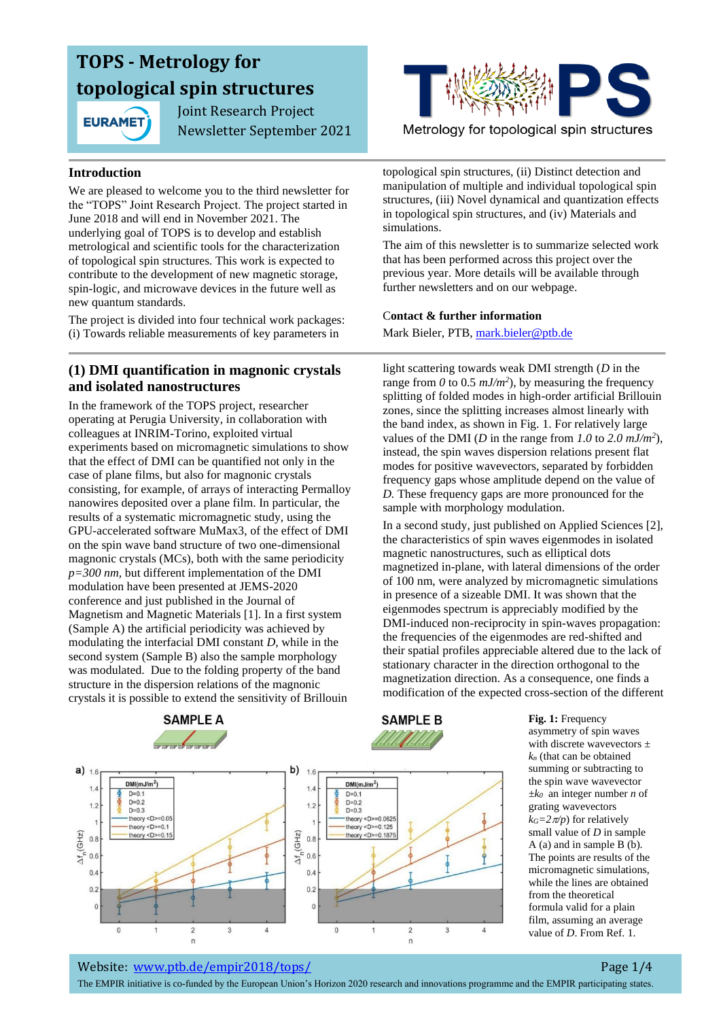

 Joint Research Project Newsletter September 2021

#### **Introduction**

We are pleased to welcome you to the third newsletter for the "TOPS" Joint Research Project. The project started in June 2018 and will end in November 2021. The underlying goal of TOPS is to develop and establish metrological and scientific tools for the characterization of topological spin structures. This work is expected to contribute to the development of new magnetic storage, spin-logic, and microwave devices in the future well as new quantum standards.

The project is divided into four technical work packages: (i) Towards reliable measurements of key parameters in

### **(1) DMI quantification in magnonic crystals and isolated nanostructures**

In the framework of the TOPS project, researcher operating at Perugia University, in collaboration with colleagues at INRIM-Torino, exploited virtual experiments based on micromagnetic simulations to show that the effect of DMI can be quantified not only in the case of plane films, but also for magnonic crystals consisting, for example, of arrays of interacting Permalloy nanowires deposited over a plane film. In particular, the results of a systematic micromagnetic study, using the GPU-accelerated software MuMax3, of the effect of DMI on the spin wave band structure of two one-dimensional magnonic crystals (MCs), both with the same periodicity *p=300 nm,* but different implementation of the DMI modulation have been presented at JEMS-2020 conference and just published in the Journal of Magnetism and Magnetic Materials [1]. In a first system (Sample A) the artificial periodicity was achieved by modulating the interfacial DMI constant *D*, while in the second system (Sample B) also the sample morphology was modulated. Due to the folding property of the band structure in the dispersion relations of the magnonic crystals it is possible to extend the sensitivity of Brillouin



Metrology for topological spin structures

topological spin structures, (ii) Distinct detection and manipulation of multiple and individual topological spin structures, (iii) Novel dynamical and quantization effects in topological spin structures, and (iv) Materials and simulations.

The aim of this newsletter is to summarize selected work that has been performed across this project over the previous year. More details will be available through further newsletters and on our webpage.

#### C**ontact & further information**

Mark Bieler, PTB, [mark.bieler@ptb.de](mailto:mark.bieler@ptb.de)

light scattering towards weak DMI strength (*D* in the range from  $\theta$  to 0.5  $mJ/m^2$ ), by measuring the frequency splitting of folded modes in high-order artificial Brillouin zones, since the splitting increases almost linearly with the band index, as shown in Fig. 1. For relatively large values of the DMI (*D* in the range from 1.0 to 2.0  $mJ/m<sup>2</sup>$ ), instead, the spin waves dispersion relations present flat modes for positive wavevectors, separated by forbidden frequency gaps whose amplitude depend on the value of *D.* These frequency gaps are more pronounced for the sample with morphology modulation.

In a second study, just published on Applied Sciences [2], the characteristics of spin waves eigenmodes in isolated magnetic nanostructures, such as elliptical dots magnetized in-plane, with lateral dimensions of the order of 100 nm, were analyzed by micromagnetic simulations in presence of a sizeable DMI. It was shown that the eigenmodes spectrum is appreciably modified by the DMI-induced non-reciprocity in spin-waves propagation: the frequencies of the eigenmodes are red-shifted and their spatial profiles appreciable altered due to the lack of stationary character in the direction orthogonal to the magnetization direction. As a consequence, one finds a modification of the expected cross-section of the different



**Fig. 1:** Frequency asymmetry of spin waves with discrete wavevectors *± k<sup>n</sup>* (that can be obtained summing or subtracting to the spin wave wavevector *±k0* an integer number *n* of grating wavevectors  $k$ <sup>*G*</sup>=2 $\pi$ */p*) for relatively small value of *D* in sample A (a) and in sample B (b). The points are results of the micromagnetic simulations, while the lines are obtained from the theoretical formula valid for a plain film, assuming an average value of *D*. From Ref. 1.

Website: [www.ptb.de/empir2018/tops/](http://www.ptb.de/empir2018/tops/) Page 1/4

The EMPIR initiative is co-funded by the European Union's Horizon 2020 research and innovations programme and the EMPIR participating states.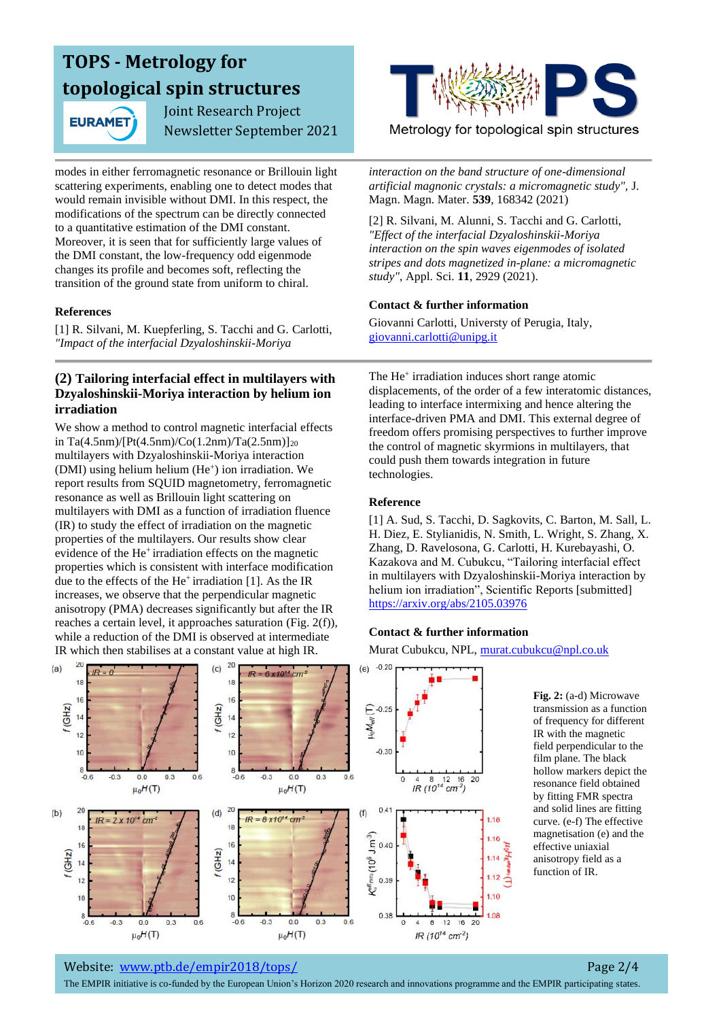**EURAMET** 

 Joint Research Project Newsletter September 2021

modes in either ferromagnetic resonance or Brillouin light scattering experiments, enabling one to detect modes that would remain invisible without DMI. In this respect, the modifications of the spectrum can be directly connected to a quantitative estimation of the DMI constant. Moreover, it is seen that for sufficiently large values of the DMI constant, the low-frequency odd eigenmode changes its profile and becomes soft, reflecting the transition of the ground state from uniform to chiral.

#### **References**

[1] R. Silvani, M. Kuepferling, S. Tacchi and G. Carlotti, *"Impact of the interfacial Dzyaloshinskii-Moriya* 

### **(2) Tailoring interfacial effect in multilayers with Dzyaloshinskii-Moriya interaction by helium ion irradiation**

We show a method to control magnetic interfacial effects in Ta(4.5nm)/[Pt(4.5nm)/Co(1.2nm)/Ta(2.5nm)]<sub>20</sub> multilayers with Dzyaloshinskii-Moriya interaction (DMI) using helium helium (He<sup>+</sup>) ion irradiation. We report results from SQUID magnetometry, ferromagnetic resonance as well as Brillouin light scattering on multilayers with DMI as a function of irradiation fluence (IR) to study the effect of irradiation on the magnetic properties of the multilayers. Our results show clear evidence of the He<sup>+</sup> irradiation effects on the magnetic properties which is consistent with interface modification due to the effects of the He<sup>+</sup> irradiation [1]. As the IR increases, we observe that the perpendicular magnetic anisotropy (PMA) decreases significantly but after the IR reaches a certain level, it approaches saturation (Fig. 2(f)), while a reduction of the DMI is observed at intermediate IR which then stabilises at a constant value at high IR.

Metrology for topological spin structures

*interaction on the band structure of one-dimensional artificial magnonic crystals: a micromagnetic study",* J. Magn. Magn. Mater. **539**, 168342 (2021)

[2] R. Silvani, M. Alunni, S. Tacchi and G. Carlotti, *"Effect of the interfacial Dzyaloshinskii-Moriya interaction on the spin waves eigenmodes of isolated stripes and dots magnetized in-plane: a micromagnetic study"*, Appl. Sci. **11**, 2929 (2021).

#### **Contact & further information**

Giovanni Carlotti, Universty of Perugia, Italy, [giovanni.carlotti@unipg.it](mailto:giovanni.carlotti@unipg.it)

The He<sup>+</sup> irradiation induces short range atomic displacements, of the order of a few interatomic distances, leading to interface intermixing and hence altering the interface-driven PMA and DMI. This external degree of freedom offers promising perspectives to further improve the control of magnetic skyrmions in multilayers, that could push them towards integration in future technologies.

#### **Reference**

[1] A. Sud, S. Tacchi, D. Sagkovits, C. Barton, M. Sall, L. H. Diez, E. Stylianidis, N. Smith, L. Wright, S. Zhang, X. Zhang, D. Ravelosona, G. Carlotti, H. Kurebayashi, O. Kazakova and M. Cubukcu, "Tailoring interfacial effect in multilayers with Dzyaloshinskii-Moriya interaction by helium ion irradiation", Scientific Reports [submitted] <https://arxiv.org/abs/2105.03976>

#### **Contact & further information**

Murat Cubukcu, NPL[, murat.cubukcu@npl.co.uk](mailto:murat.cubukcu@npl.co.uk)



**Fig. 2:** (a-d) Microwave transmission as a function of frequency for different IR with the magnetic field perpendicular to the film plane. The black hollow markers depict the resonance field obtained by fitting FMR spectra and solid lines are fitting curve. (e-f) The effective magnetisation (e) and the effective uniaxial anisotropy field as a function of IR.

#### Website: [www.ptb.de/empir2018/tops/](http://www.ptb.de/empir2018/tops/) Page 2/4

The EMPIR initiative is co-funded by the European Union's Horizon 2020 research and innovations programme and the EMPIR participating states.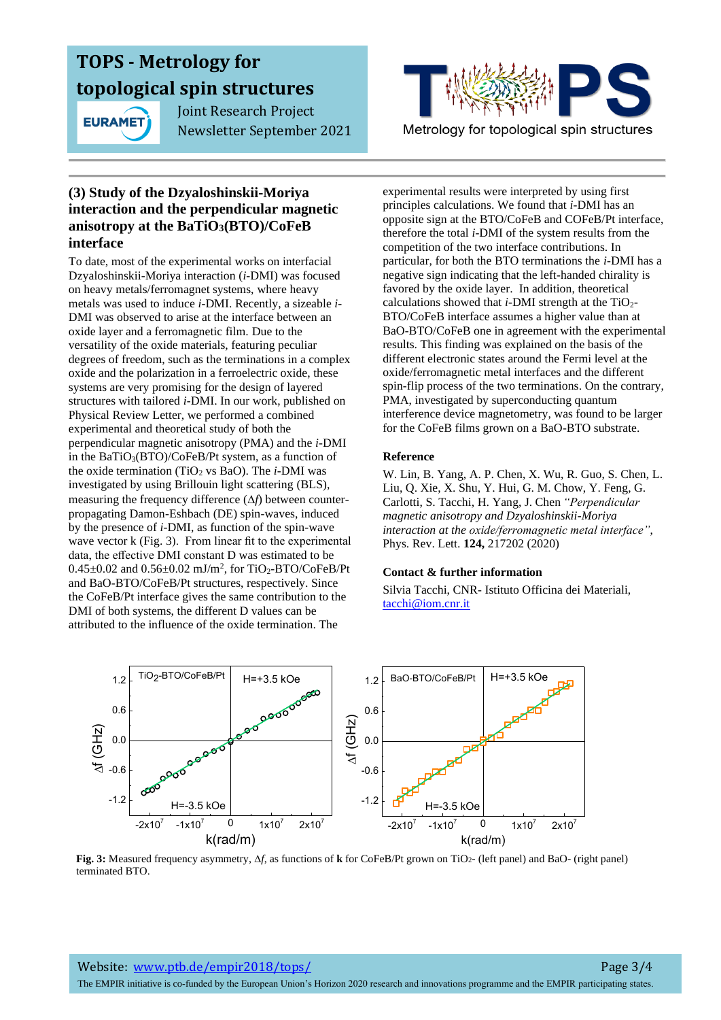

 Joint Research Project Newsletter September 2021



Metrology for topological spin structures

### **(3) Study of the Dzyaloshinskii-Moriya interaction and the perpendicular magnetic anisotropy at the BaTiO3(BTO)/CoFeB interface**

To date, most of the experimental works on interfacial Dzyaloshinskii-Moriya interaction (*i*-DMI) was focused on heavy metals/ferromagnet systems, where heavy metals was used to induce *i*-DMI. Recently, a sizeable *i*-DMI was observed to arise at the interface between an oxide layer and a ferromagnetic film. Due to the versatility of the oxide materials, featuring peculiar degrees of freedom, such as the terminations in a complex oxide and the polarization in a ferroelectric oxide, these systems are very promising for the design of layered structures with tailored *i*-DMI. In our work, published on Physical Review Letter, we performed a combined experimental and theoretical study of both the perpendicular magnetic anisotropy (PMA) and the *i*-DMI in the BaTiO3(BTO)/CoFeB/Pt system, as a function of the oxide termination (TiO<sub>2</sub> vs BaO). The *i*-DMI was investigated by using Brillouin light scattering (BLS), measuring the frequency difference  $(\Delta f)$  between counterpropagating Damon-Eshbach (DE) spin-waves, induced by the presence of *i*-DMI, as function of the spin-wave wave vector k (Fig. 3). From linear fit to the experimental data, the effective DMI constant D was estimated to be  $0.45\pm0.02$  and  $0.56\pm0.02$  mJ/m<sup>2</sup>, for TiO<sub>2</sub>-BTO/CoFeB/Pt and BaO-BTO/CoFeB/Pt structures, respectively. Since the CoFeB/Pt interface gives the same contribution to the DMI of both systems, the different D values can be attributed to the influence of the oxide termination. The

experimental results were interpreted by using first principles calculations. We found that *i-*DMI has an opposite sign at the BTO/CoFeB and COFeB/Pt interface, therefore the total *i*-DMI of the system results from the competition of the two interface contributions. In particular, for both the BTO terminations the *i*-DMI has a negative sign indicating that the left-handed chirality is favored by the oxide layer. In addition, theoretical calculations showed that  $i$ -DMI strength at the TiO<sub>2</sub>-BTO/CoFeB interface assumes a higher value than at BaO-BTO/CoFeB one in agreement with the experimental results. This finding was explained on the basis of the different electronic states around the Fermi level at the oxide/ferromagnetic metal interfaces and the different spin-flip process of the two terminations. On the contrary, PMA, investigated by superconducting quantum interference device magnetometry, was found to be larger for the CoFeB films grown on a BaO-BTO substrate.

### **Reference**

W. Lin, B. Yang, A. P. Chen, X. Wu, R. Guo, S. Chen, L. Liu, Q. Xie, X. Shu, Y. Hui, G. M. Chow, Y. Feng, G. Carlotti, S. Tacchi, H. Yang, J. Chen *"Perpendicular magnetic anisotropy and Dzyaloshinskii-Moriya interaction at the oxide/ferromagnetic metal interface"*, Phys. Rev. Lett. **124,** 217202 (2020)

#### **Contact & further information**

Silvia Tacchi, CNR- Istituto Officina dei Materiali, tacchi@iom.cnr.it



**Fig. 3:** Measured frequency asymmetry, *f*, as functions of **k** for CoFeB/Pt grown on TiO2- (left panel) and BaO- (right panel) terminated BTO.